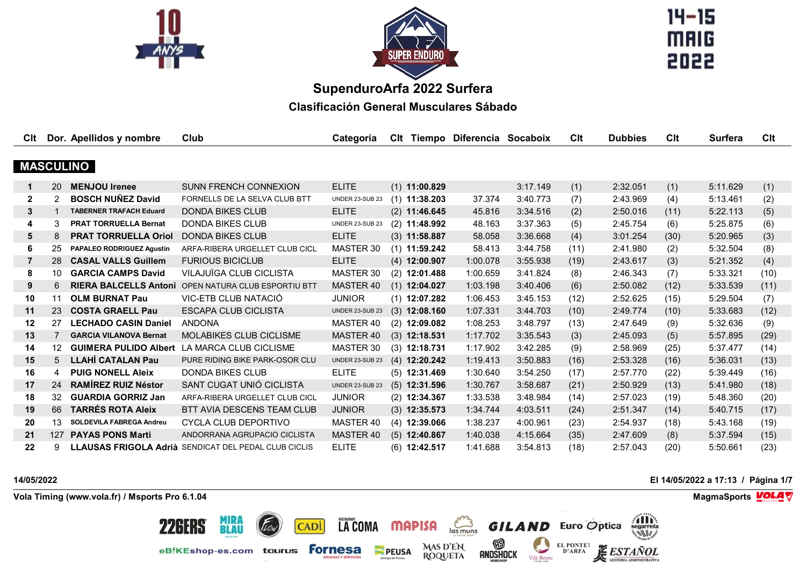



 $14 - 15$ **MAIG** 2022

# **SupenduroArfa 2022 Surfera**

**Clasificación General Musculares Sábado**

| Clt             |     | Dor. Apellidos y nombre          | Club                                                        | Categoría              |                 | CIt Tiempo Diferencia Socaboix |          | Clt  | <b>Dubbies</b> | Clt  | <b>Surfera</b> | Clt  |
|-----------------|-----|----------------------------------|-------------------------------------------------------------|------------------------|-----------------|--------------------------------|----------|------|----------------|------|----------------|------|
|                 |     |                                  |                                                             |                        |                 |                                |          |      |                |      |                |      |
|                 |     | <b>MASCULINO</b>                 |                                                             |                        |                 |                                |          |      |                |      |                |      |
| $\mathbf 1$     | 20  | <b>MENJOU Irenee</b>             | <b>SUNN FRENCH CONNEXION</b>                                | <b>ELITE</b>           | $(1)$ 11:00.829 |                                | 3:17.149 | (1)  | 2:32.051       | (1)  | 5:11.629       | (1)  |
| $\mathbf{2}$    | 2   | <b>BOSCH NUÑEZ David</b>         | FORNELLS DE LA SELVA CLUB BTT                               | UNDER 23-SUB 23        | $(1)$ 11:38.203 | 37.374                         | 3:40.773 | (7)  | 2:43.969       | (4)  | 5:13.461       | (2)  |
| 3               |     | <b>TABERNER TRAFACH Eduard</b>   | <b>DONDA BIKES CLUB</b>                                     | <b>ELITE</b>           | $(2)$ 11:46.645 | 45.816                         | 3:34.516 | (2)  | 2:50.016       | (11) | 5:22.113       | (5)  |
| 4               | 3   | <b>PRAT TORRUELLA Bernat</b>     | <b>DONDA BIKES CLUB</b>                                     | UNDER 23-SUB 23        | $(2)$ 11:48.992 | 48.163                         | 3:37.363 | (5)  | 2:45.754       | (6)  | 5:25.875       | (6)  |
| $5\overline{)}$ | 8   | <b>PRAT TORRUELLA Oriol</b>      | <b>DONDA BIKES CLUB</b>                                     | <b>ELITE</b>           | $(3)$ 11:58.887 | 58.058                         | 3:36.668 | (4)  | 3:01.254       | (30) | 5:20.965       | (3)  |
| 6               | 25  | <b>PAPALEO RODRIGUEZ Agustin</b> | ARFA-RIBERA URGELLET CLUB CICL                              | MASTER 30              | $(1)$ 11:59.242 | 58.413                         | 3:44.758 | (11) | 2:41.980       | (2)  | 5:32.504       | (8)  |
| $\overline{7}$  | 28  | <b>CASAL VALLS Guillem</b>       | <b>FURIOUS BICICLUB</b>                                     | <b>ELITE</b>           | $(4)$ 12:00.907 | 1:00.078                       | 3:55.938 | (19) | 2:43.617       | (3)  | 5:21.352       | (4)  |
| 8               | 10  | <b>GARCIA CAMPS David</b>        | VILAJUÏGA CLUB CICLISTA                                     | MASTER 30              | $(2)$ 12:01.488 | 1:00.659                       | 3:41.824 | (8)  | 2:46.343       | (7)  | 5:33.321       | (10) |
| 9               | 6   |                                  | <b>RIERA BALCELLS Antoni OPEN NATURA CLUB ESPORTIU BTT</b>  | MASTER 40              | $(1)$ 12:04.027 | 1:03.198                       | 3:40.406 | (6)  | 2:50.082       | (12) | 5:33.539       | (11) |
| 10              | 11  | <b>OLM BURNAT Pau</b>            | VIC-ETB CLUB NATACIÓ                                        | <b>JUNIOR</b>          | $(1)$ 12:07.282 | 1:06.453                       | 3:45.153 | (12) | 2:52.625       | (15) | 5:29.504       | (7)  |
| 11              | 23  | <b>COSTA GRAELL Pau</b>          | <b>ESCAPA CLUB CICLISTA</b>                                 | <b>UNDER 23-SUB 23</b> | $(3)$ 12:08.160 | 1:07.331                       | 3:44.703 | (10) | 2:49.774       | (10) | 5:33.683       | (12) |
| 12              | 27  | <b>LECHADO CASIN Daniel</b>      | <b>ANDONA</b>                                               | MASTER 40              | $(2)$ 12:09.082 | 1:08.253                       | 3:48.797 | (13) | 2:47.649       | (9)  | 5:32.636       | (9)  |
| 13              |     | <b>GARCIA VILANOVA Bernat</b>    | MOLABIKES CLUB CICLISME                                     | MASTER 40              | $(3)$ 12:18.531 | 1:17.702                       | 3:35.543 | (3)  | 2:45.093       | (5)  | 5:57.895       | (29) |
| 14              | 12  | <b>GUIMERA PULIDO Albert</b>     | LA MARCA CLUB CICLISME                                      | MASTER 30              | $(3)$ 12:18.731 | 1:17.902                       | 3:42.285 | (9)  | 2:58.969       | (25) | 5:37.477       | (14) |
| 15              | 5   | <b>LLAHÍ CATALAN Pau</b>         | PURE RIDING BIKE PARK-OSOR CLU                              | <b>UNDER 23-SUB 23</b> | $(4)$ 12:20.242 | 1:19.413                       | 3:50.883 | (16) | 2:53.328       | (16) | 5:36.031       | (13) |
| 16              | 4   | <b>PUIG NONELL Aleix</b>         | <b>DONDA BIKES CLUB</b>                                     | <b>ELITE</b>           | $(5)$ 12:31.469 | 1:30.640                       | 3:54.250 | (17) | 2:57.770       | (22) | 5:39.449       | (16) |
| 17              | 24  | <b>RAMÍREZ RUIZ Néstor</b>       | SANT CUGAT UNIÓ CICLISTA                                    | <b>UNDER 23-SUB 23</b> | $(5)$ 12:31.596 | 1:30.767                       | 3:58.687 | (21) | 2:50.929       | (13) | 5:41.980       | (18) |
| 18              | 32  | <b>GUARDIA GORRIZ Jan</b>        | ARFA-RIBERA URGELLET CLUB CICL                              | <b>JUNIOR</b>          | $(2)$ 12:34.367 | 1:33.538                       | 3:48.984 | (14) | 2:57.023       | (19) | 5:48.360       | (20) |
| 19              | 66  | <b>TARRÉS ROTA Aleix</b>         | <b>BTT AVIA DESCENS TEAM CLUB</b>                           | <b>JUNIOR</b>          | $(3)$ 12:35.573 | 1:34.744                       | 4:03.511 | (24) | 2:51.347       | (14) | 5:40.715       | (17) |
| 20              | 13  | <b>SOLDEVILA FABREGA Andreu</b>  | CYCLA CLUB DEPORTIVO                                        | MASTER 40              | $(4)$ 12:39.066 | 1:38.237                       | 4:00.961 | (23) | 2:54.937       | (18) | 5:43.168       | (19) |
| 21              | 127 | <b>PAYAS PONS Marti</b>          | ANDORRANA AGRUPACIO CICLISTA                                | MASTER 40              | $(5)$ 12:40.867 | 1:40.038                       | 4:15.664 | (35) | 2:47.609       | (8)  | 5:37.594       | (15) |
| 22              | g   |                                  | <b>LLAUSAS FRIGOLA Adrià SENDICAT DEL PEDAL CLUB CICLIS</b> | <b>ELITE</b>           | $(6)$ 12:42.517 | 1:41.688                       | 3:54.813 | (18) | 2:57.043       | (20) | 5:50.661       | (23) |

LA COMA MAPISA

**PEUSA** 

CADI.

 $\sum_{\text{las muns}}$ 

MAS D'EN<br>ROQUETA

 $\circledR$ 

**ANDSHOCK** 



**Vola Timing (www.vola.fr) / Msports Pro 6.1.04 MagmaSports MagmaSports MagmaSports MagmaSports MagmaSports** 

**MIRA<br>BLAU** 

eBiKEshop-es.com taurus Fornesa

**226ERS** 

**14/05/2022 El 14/05/2022 a 17:13 / Página 1/7**

**THE** 

**ADMINISTRATIVA** 

*ESTAÑOL* 

**GILAND** Euro Optica

Vilà Betriu

EL PONTET<br>D'ARFA

i

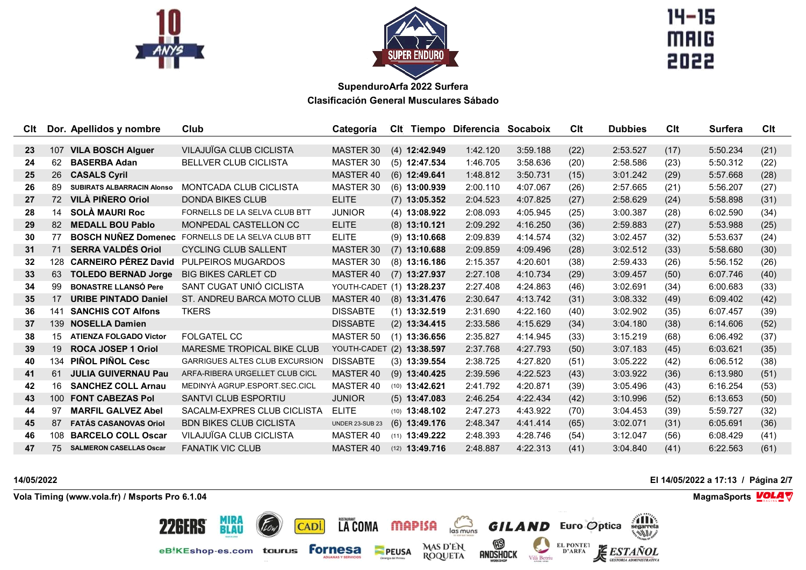



 $14 - 15$ **MAIG** 2022

| Clt             |                  | Dor. Apellidos y nombre           | Club                                  | Categoría                 |                         | CIt Tiempo Diferencia Socaboix |          | Clt  | <b>Dubbies</b> | Clt  | <b>Surfera</b> | Clt  |
|-----------------|------------------|-----------------------------------|---------------------------------------|---------------------------|-------------------------|--------------------------------|----------|------|----------------|------|----------------|------|
| 23              | 107              | <b>VILA BOSCH Alguer</b>          | <b>VILAJUÏGA CLUB CICLISTA</b>        | MASTER 30                 | $(4)$ 12:42.949         | 1:42.120                       | 3:59.188 | (22) | 2:53.527       | (17) | 5:50.234       | (21) |
| 24              | 62               | <b>BASERBA Adan</b>               | <b>BELLVER CLUB CICLISTA</b>          | MASTER 30                 | $(5)$ 12:47.534         | 1:46.705                       | 3:58.636 | (20) | 2:58.586       | (23) | 5:50.312       | (22) |
| 25              | 26               | <b>CASALS Cyril</b>               |                                       | MASTER 40                 | $(6)$ 12:49.641         | 1:48.812                       | 3:50.731 | (15) | 3:01.242       | (29) | 5:57.668       | (28) |
| 26              | 89               | <b>SUBIRATS ALBARRACIN Alonso</b> | MONTCADA CLUB CICLISTA                | MASTER 30                 | $(6)$ 13:00.939         | 2:00.110                       | 4:07.067 | (26) | 2:57.665       | (21) | 5:56.207       | (27) |
| 27              | 72               | <b>VILÀ PIÑERO Oriol</b>          | <b>DONDA BIKES CLUB</b>               | <b>ELITE</b>              | $(7)$ 13:05.352         | 2:04.523                       | 4:07.825 | (27) | 2:58.629       | (24) | 5:58.898       | (31) |
| 28              | 14               | <b>SOLÀ MAURI Roc</b>             | FORNELLS DE LA SELVA CLUB BTT         | <b>JUNIOR</b>             | $(4)$ 13:08.922         | 2:08.093                       | 4:05.945 | (25) | 3:00.387       | (28) | 6:02.590       | (34) |
| 29              | 82               | <b>MEDALL BOU Pablo</b>           | MONPEDAL CASTELLON CC                 | <b>ELITE</b>              | $(8)$ 13:10.121         | 2:09.292                       | 4:16.250 | (36) | 2:59.883       | (27) | 5:53.988       | (25) |
| 30              | 77               | <b>BOSCH NUÑEZ Domenec</b>        | FORNELLS DE LA SELVA CLUB BTT         | <b>ELITE</b>              | $(9)$ 13:10.668         | 2:09.839                       | 4:14.574 | (32) | 3:02.457       | (32) | 5:53.637       | (24) |
| 31              | 71               | <b>SERRA VALDÉS Oriol</b>         | <b>CYCLING CLUB SALLENT</b>           | MASTER 30                 | $(7)$ 13:10.688         | 2:09.859                       | 4:09.496 | (28) | 3:02.512       | (33) | 5:58.680       | (30) |
| $32\phantom{a}$ | 128              | <b>CARNEIRO PÉREZ David</b>       | <b>PULPEIROS MUGARDOS</b>             | MASTER 30                 | $(8)$ 13:16.186         | 2:15.357                       | 4:20.601 | (38) | 2:59.433       | (26) | 5:56.152       | (26) |
| 33              | 63               | <b>TOLEDO BERNAD Jorge</b>        | <b>BIG BIKES CARLET CD</b>            | MASTER 40                 | $(7)$ 13:27.937         | 2:27.108                       | 4:10.734 | (29) | 3:09.457       | (50) | 6:07.746       | (40) |
| 34              | 99               | <b>BONASTRE LLANSÓ Pere</b>       | SANT CUGAT UNIÓ CICLISTA              | YOUTH-CADET (1) 13:28.237 |                         | 2:27.408                       | 4:24.863 | (46) | 3:02.691       | (34) | 6:00.683       | (33) |
| 35              | 17               | <b>URIBE PINTADO Daniel</b>       | ST. ANDREU BARCA MOTO CLUB            | MASTER 40                 | $(8)$ 13:31.476         | 2:30.647                       | 4:13.742 | (31) | 3:08.332       | (49) | 6:09.402       | (42) |
| 36              | 141              | <b>SANCHIS COT Alfons</b>         | <b>TKERS</b>                          | <b>DISSABTE</b>           | $(1)$ 13:32.519         | 2:31.690                       | 4:22.160 | (40) | 3:02.902       | (35) | 6:07.457       | (39) |
| 37              | 139              | <b>NOSELLA Damien</b>             |                                       | <b>DISSABTE</b>           | $(2)$ 13:34.415         | 2:33.586                       | 4:15.629 | (34) | 3:04.180       | (38) | 6:14.606       | (52) |
| 38              | 15               | <b>ATIENZA FOLGADO Victor</b>     | <b>FOLGATEL CC</b>                    | <b>MASTER 50</b>          | $(1)$ 13:36.656         | 2:35.827                       | 4:14.945 | (33) | 3:15.219       | (68) | 6:06.492       | (37) |
| 39              | 19               | <b>ROCA JOSEP 1 Oriol</b>         | <b>MARESME TROPICAL BIKE CLUB</b>     | YOUTH-CADET (2) 13:38.597 |                         | 2:37.768                       | 4:27.793 | (50) | 3:07.183       | (45) | 6:03.621       | (35) |
| 40              | 134              | PIÑOL PIÑOL Cesc                  | <b>GARRIGUES ALTES CLUB EXCURSION</b> | <b>DISSABTE</b>           | $(3)$ 13:39.554         | 2:38.725                       | 4:27.820 | (51) | 3:05.222       | (42) | 6:06.512       | (38) |
| 41              | 61               | <b>JULIA GUIVERNAU Pau</b>        | ARFA-RIBERA URGELLET CLUB CICL        | MASTER 40                 | $(9)$ 13:40.425         | 2:39.596                       | 4:22.523 | (43) | 3:03.922       | (36) | 6:13.980       | (51) |
| 42              | 16               | <b>SANCHEZ COLL Arnau</b>         | MEDINYÀ AGRUP ESPORT SEC CICL         | MASTER 40                 | $(10)$ 13:42.621        | 2:41.792                       | 4:20.871 | (39) | 3:05.496       | (43) | 6:16.254       | (53) |
| 43              | 100 <sub>1</sub> | <b>FONT CABEZAS Pol</b>           | SANTVI CLUB ESPORTIU                  | <b>JUNIOR</b>             | $(5)$ 13:47.083         | 2:46.254                       | 4:22.434 | (42) | 3:10.996       | (52) | 6:13.653       | (50) |
| 44              | 97               | <b>MARFIL GALVEZ Abel</b>         | SACALM-EXPRES CLUB CICLISTA           | <b>ELITE</b>              | $(10)$ 13:48.102        | 2:47.273                       | 4:43.922 | (70) | 3:04.453       | (39) | 5:59.727       | (32) |
| 45              | 87               | <b>FATÁS CASANOVAS Oriol</b>      | <b>BDN BIKES CLUB CICLISTA</b>        | <b>UNDER 23-SUB 23</b>    | $(6)$ 13:49.176         | 2:48.347                       | 4:41.414 | (65) | 3:02.071       | (31) | 6:05.691       | (36) |
| 46              | 108              | <b>BARCELO COLL Oscar</b>         | VILAJUÏGA CLUB CICLISTA               | MASTER 40                 | $(11)$ <b>13:49.222</b> | 2:48.393                       | 4:28.746 | (54) | 3:12.047       | (56) | 6:08.429       | (41) |
| 47              | 75               | <b>SALMERON CASELLAS Oscar</b>    | <b>FANATIK VIC CLUB</b>               | MASTER 40                 | $(12)$ <b>13:49.716</b> | 2:48.887                       | 4:22.313 | (41) | 3:04.840       | (41) | 6:22.563       | (61) |

LA COMA MAPISA

PEUSA

CADI.

 $\sum_{\text{las minus}}$ 

MAS D'EN<br>ROQUETA

 $\circledR$ 

andshock

**Vola Timing (www.vola.fr) / Msports Pro 6.1.04 MagmaSports MagmaSports MagmaSports MagmaSports MagmaSports** 

**MIRA<br>BLAU** 

eBIKEshop-es.com taurus Fornesa

22GERS

**14/05/2022 El 14/05/2022 a 17:13 / Página 2/7**

**THE** 

**ESTAÑOL** 

**GESTORIA ADMINISTRATIVA** 

**GILAND** Euro Optica

Vilà Betriu

EL PONTE1<br>D'ARFA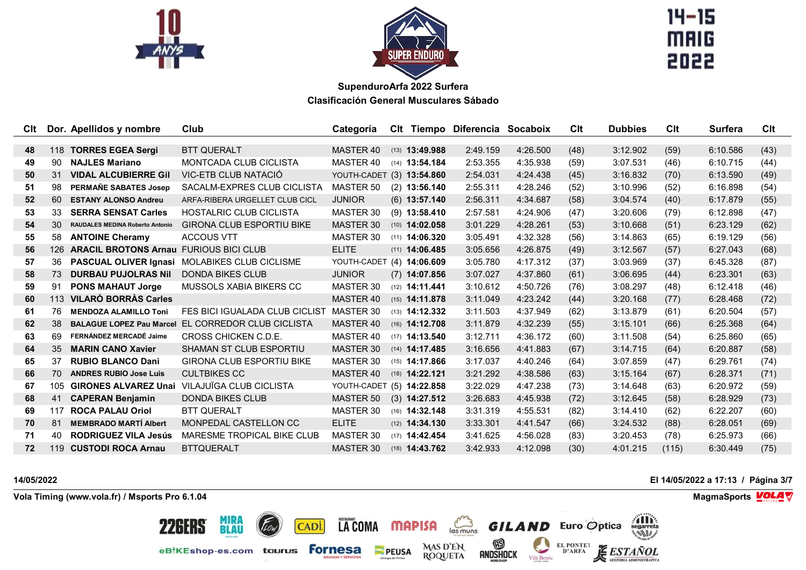



 $14 - 15$ **MAIG** 2022

| <b>C</b> lt |     | Dor. Apellidos y nombre                | Club                             | Categoría                 |                         | CIt Tiempo Diferencia Socaboix |          | Clt  | <b>Dubbies</b> | Clt   | <b>Surfera</b> | CIt  |
|-------------|-----|----------------------------------------|----------------------------------|---------------------------|-------------------------|--------------------------------|----------|------|----------------|-------|----------------|------|
|             |     |                                        |                                  |                           |                         |                                |          |      |                |       |                |      |
| 48          | 118 | <b>TORRES EGEA Sergi</b>               | <b>BTT QUERALT</b>               | MASTER 40                 | $(13)$ <b>13:49.988</b> | 2:49.159                       | 4:26.500 | (48) | 3:12.902       | (59)  | 6:10.586       | (43) |
| 49          | 90  | <b>NAJLES Mariano</b>                  | <b>MONTCADA CLUB CICLISTA</b>    | MASTER 40                 | $(14)$ 13:54.184        | 2:53.355                       | 4:35.938 | (59) | 3:07.531       | (46)  | 6:10.715       | (44) |
| 50          | 31  | <b>VIDAL ALCUBIERRE Gil</b>            | VIC-ETB CLUB NATACIÓ             | YOUTH-CADET (3) 13:54.860 |                         | 2:54.031                       | 4:24.438 | (45) | 3:16.832       | (70)  | 6:13.590       | (49) |
| 51          | 98  | PERMANE SABATES Josep                  | SACALM-EXPRES CLUB CICLISTA      | MASTER 50                 | $(2)$ 13:56.140         | 2:55.311                       | 4:28.246 | (52) | 3:10.996       | (52)  | 6:16.898       | (54) |
| 52          | 60  | <b>ESTANY ALONSO Andreu</b>            | ARFA-RIBERA URGELLET CLUB CICL   | <b>JUNIOR</b>             | $(6)$ 13:57.140         | 2:56.311                       | 4:34.687 | (58) | 3:04.574       | (40)  | 6:17.879       | (55) |
| 53          | 33  | <b>SERRA SENSAT Carles</b>             | <b>HOSTALRIC CLUB CICLISTA</b>   | MASTER 30                 | $(9)$ 13:58.410         | 2:57.581                       | 4:24.906 | (47) | 3:20.606       | (79)  | 6:12.898       | (47) |
| 54          | 30  | <b>RAUDALES MEDINA Roberto Antonio</b> | <b>GIRONA CLUB ESPORTIU BIKE</b> | MASTER 30                 | $(10)$ 14:02.058        | 3:01.229                       | 4:28.261 | (53) | 3:10.668       | (51)  | 6:23.129       | (62) |
| 55          | 58  | <b>ANTOINE Cheramy</b>                 | <b>ACCOUS VTT</b>                | MASTER 30                 | $(11)$ <b>14:06.320</b> | 3:05.491                       | 4:32.328 | (56) | 3:14.863       | (65)  | 6:19.129       | (56) |
| 56          | 126 | <b>ARACIL BROTONS Arnau</b>            | <b>FURIOUS BICI CLUB</b>         | <b>ELITE</b>              | $(11)$ <b>14:06.485</b> | 3:05.656                       | 4:26.875 | (49) | 3:12.567       | (57)  | 6:27.043       | (68) |
| 57          | 36  | PASCUAL OLIVER Ignasi                  | MOLABIKES CLUB CICLISME          | YOUTH-CADET (4) 14:06.609 |                         | 3:05.780                       | 4:17.312 | (37) | 3:03.969       | (37)  | 6:45.328       | (87) |
| 58          | 73  | <b>DURBAU PUJOLRAS Nil</b>             | <b>DONDA BIKES CLUB</b>          | <b>JUNIOR</b>             | $(7)$ 14:07.856         | 3:07.027                       | 4:37.860 | (61) | 3:06.695       | (44)  | 6:23.301       | (63) |
| 59          | 91  | <b>PONS MAHAUT Jorge</b>               | MUSSOLS XABIA BIKERS CC          | MASTER 30                 | $(12)$ <b>14:11.441</b> | 3:10.612                       | 4:50.726 | (76) | 3:08.297       | (48)  | 6:12.418       | (46) |
| 60          | 113 | <b>VILARÓ BORRÀS Carles</b>            |                                  | MASTER 40                 | $(15)$ <b>14:11.878</b> | 3:11.049                       | 4:23.242 | (44) | 3:20.168       | (77)  | 6:28.468       | (72) |
| 61          | 76  | <b>MENDOZA ALAMILLO Toni</b>           | FES BICI IGUALADA CLUB CICLIST   | MASTER 30                 | $(13)$ <b>14:12.332</b> | 3:11.503                       | 4:37.949 | (62) | 3:13.879       | (61)  | 6:20.504       | (57) |
| 62          | 38  | <b>BALAGUE LOPEZ Pau Marcel</b>        | EL CORREDOR CLUB CICLISTA        | MASTER 40                 | $(16)$ 14:12.708        | 3:11.879                       | 4:32.239 | (55) | 3:15.101       | (66)  | 6:25.368       | (64) |
| 63          | 69  | FERNÁNDEZ MERCADÉ Jaime                | CROSS CHICKEN C.D.E.             | MASTER 40                 | $(17)$ <b>14:13.540</b> | 3:12.711                       | 4:36.172 | (60) | 3:11.508       | (54)  | 6:25.860       | (65) |
| 64          | 35  | <b>MARIN CANO Xavier</b>               | <b>SHAMAN ST CLUB ESPORTIU</b>   | MASTER 30                 | $(14)$ <b>14:17.485</b> | 3:16.656                       | 4:41.883 | (67) | 3:14.715       | (64)  | 6:20.887       | (58) |
| 65          | 37  | <b>RUBIO BLANCO Dani</b>               | <b>GIRONA CLUB ESPORTIU BIKE</b> | MASTER 30                 | $(15)$ <b>14:17.866</b> | 3:17.037                       | 4:40.246 | (64) | 3:07.859       | (47)  | 6:29.761       | (74) |
| 66          | 70  | <b>ANDRES RUBIO Jose Luis</b>          | <b>CULTBIKES CC</b>              | MASTER 40                 | $(18)$ 14:22.121        | 3:21.292                       | 4:38.586 | (63) | 3:15.164       | (67)  | 6:28.371       | (71) |
| 67          | 105 | <b>GIRONES ALVAREZ Unai</b>            | VILAJUÏGA CLUB CICLISTA          | YOUTH-CADET (5) 14:22.858 |                         | 3:22.029                       | 4:47.238 | (73) | 3:14.648       | (63)  | 6:20.972       | (59) |
| 68          | 41  | <b>CAPERAN Benjamin</b>                | <b>DONDA BIKES CLUB</b>          | <b>MASTER 50</b>          | $(3)$ 14:27.512         | 3:26.683                       | 4:45.938 | (72) | 3:12.645       | (58)  | 6:28.929       | (73) |
| 69          | 117 | <b>ROCA PALAU Oriol</b>                | <b>BTT QUERALT</b>               | MASTER 30                 | $(16)$ <b>14:32.148</b> | 3:31.319                       | 4:55.531 | (82) | 3:14.410       | (62)  | 6:22.207       | (60) |
| 70          | 81  | <b>MEMBRADO MARTÍ Albert</b>           | MONPEDAL CASTELLON CC            | <b>ELITE</b>              | $(12)$ <b>14:34.130</b> | 3:33.301                       | 4:41.547 | (66) | 3:24.532       | (88)  | 6:28.051       | (69) |
| 71          | 40  | <b>RODRIGUEZ VILA Jesús</b>            | MARESME TROPICAL BIKE CLUB       | MASTER 30                 | $(17)$ <b>14:42.454</b> | 3:41.625                       | 4:56.028 | (83) | 3:20.453       | (78)  | 6:25.973       | (66) |
| 72          | 119 | <b>CUSTODI ROCA Arnau</b>              | <b>BTTQUERALT</b>                | MASTER 30                 | $(18)$ <b>14:43.762</b> | 3:42.933                       | 4:12.098 | (30) | 4:01.215       | (115) | 6:30.449       | (75) |

LACOMA MAPISA

**PEUSA** 

CADI.

 $\sum_{\text{las minus}}$ 

MAS D'EN<br>ROQUETA

 $\circledR$ 

andshock

**Vola Timing (www.vola.fr) / Msports Pro 6.1.04 MagmaSports MagmaSports MagmaSports MagmaSports MagmaSports** 

**MIRA<br>BLAU** 

eBIKEshop-es.com taurus Fornesa

22GERS

**14/05/2022 El 14/05/2022 a 17:13 / Página 3/7**

**THE** 

*ESTAÑOL* 

**ORIA ADMINISTRATIVA** 

**GILAND** Euro Optica

Vilà Betriu

EL PONTE1<br>D'ARFA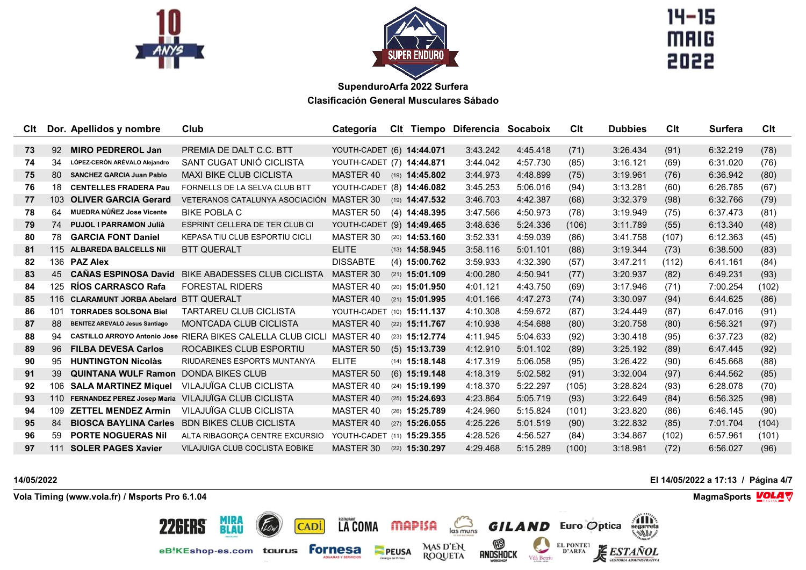



 $14 - 15$ **MAIG** 2022

| CIt. |     | Dor. Apellidos y nombre               | Club                                                               | Categoría                  |                         | Clt Tiempo Diferencia Socaboix |          | Clt   | <b>Dubbies</b> | Clt   | <b>Surfera</b> | Clt   |
|------|-----|---------------------------------------|--------------------------------------------------------------------|----------------------------|-------------------------|--------------------------------|----------|-------|----------------|-------|----------------|-------|
|      |     |                                       |                                                                    |                            |                         |                                |          |       |                |       |                |       |
| 73   | 92  | <b>MIRO PEDREROL Jan</b>              | PREMIA DE DALT C.C. BTT                                            | YOUTH-CADET (6) 14:44.071  |                         | 3:43.242                       | 4:45.418 | (71)  | 3:26.434       | (91)  | 6:32.219       | (78)  |
| 74   | 34  | LÓPEZ CERÓN ARÉVALO Alejandro         | SANT CUGAT UNIÓ CICLISTA                                           | YOUTH-CADET (7) 14:44.871  |                         | 3:44.042                       | 4:57.730 | (85)  | 3:16.121       | (69)  | 6:31.020       | (76)  |
| 75   | 80  | <b>SANCHEZ GARCIA Juan Pablo</b>      | <b>MAXI BIKE CLUB CICLISTA</b>                                     | MASTER 40 (19) 14:45.802   |                         | 3:44.973                       | 4:48.899 | (75)  | 3:19.961       | (76)  | 6:36.942       | (80)  |
| 76   | 18  | <b>CENTELLES FRADERA Pau</b>          | FORNELLS DE LA SELVA CLUB BTT                                      | YOUTH-CADET (8) 14:46.082  |                         | 3:45.253                       | 5:06.016 | (94)  | 3:13.281       | (60)  | 6:26.785       | (67)  |
| 77   | 103 | <b>OLIVER GARCIA Gerard</b>           | VETERANOS CATALUNYA ASOCIACIÓN                                     | MASTER 30                  | $(19)$ <b>14:47.532</b> | 3:46.703                       | 4:42.387 | (68)  | 3:32.379       | (98)  | 6:32.766       | (79)  |
| 78   | 64  | MUEDRA NÚÑEZ Jose Vicente             | <b>BIKE POBLA C</b>                                                | MASTER 50                  | $(4)$ 14:48.395         | 3:47.566                       | 4:50.973 | (78)  | 3:19.949       | (75)  | 6:37.473       | (81)  |
| 79   | 74  | <b>PUJOL I PARRAMON Julià</b>         | ESPRINT CELLERA DE TER CLUB CI                                     | YOUTH-CADET (9) 14:49.465  |                         | 3:48.636                       | 5:24.336 | (106) | 3:11.789       | (55)  | 6:13.340       | (48)  |
| 80   | 78  | <b>GARCIA FONT Daniel</b>             | KEPASA TIU CLUB ESPORTIU CICLI                                     | MASTER 30                  | $(20)$ <b>14:53.160</b> | 3:52.331                       | 4:59.039 | (86)  | 3:41.758       | (107) | 6:12.363       | (45)  |
| 81   | 115 | <b>ALBAREDA BALCELLS Nil</b>          | <b>BTT QUERALT</b>                                                 | <b>ELITE</b>               | $(13)$ <b>14:58.945</b> | 3:58.116                       | 5:01.101 | (88)  | 3:19.344       | (73)  | 6:38.500       | (83)  |
| 82   |     | 136 PAZ Alex                          |                                                                    | <b>DISSABTE</b>            | $(4)$ 15:00.762         | 3:59.933                       | 4:32.390 | (57)  | 3:47.211       | (112) | 6:41.161       | (84)  |
| 83   | 45  | <b>CANAS ESPINOSA David</b>           | <b>BIKE ABADESSES CLUB CICLISTA</b>                                | MASTER 30                  | $(21)$ 15:01.109        | 4:00.280                       | 4:50.941 | (77)  | 3:20.937       | (82)  | 6:49.231       | (93)  |
| 84   | 125 | <b>RÍOS CARRASCO Rafa</b>             | <b>FORESTAL RIDERS</b>                                             | MASTER 40                  | $(20)$ 15:01.950        | 4:01.121                       | 4:43.750 | (69)  | 3:17.946       | (71)  | 7:00.254       | (102) |
| 85   | 116 | <b>CLARAMUNT JORBA Abelard</b>        | <b>BTT QUERALT</b>                                                 | MASTER 40                  | $(21)$ 15:01.995        | 4:01.166                       | 4:47.273 | (74)  | 3:30.097       | (94)  | 6:44.625       | (86)  |
| 86   | 101 | <b>TORRADES SOLSONA Biel</b>          | <b>TARTAREU CLUB CICLISTA</b>                                      | YOUTH-CADET (10) 15:11.137 |                         | 4:10.308                       | 4:59.672 | (87)  | 3:24.449       | (87)  | 6:47.016       | (91)  |
| 87   | 88  | <b>BENITEZ AREVALO Jesus Santiago</b> | <b>MONTCADA CLUB CICLISTA</b>                                      | MASTER 40                  | $(22)$ 15:11.767        | 4:10.938                       | 4:54.688 | (80)  | 3:20.758       | (80)  | 6:56.321       | (97)  |
| 88   | 94  |                                       | <b>CASTILLO ARROYO Antonio Jose RIERA BIKES CALELLA CLUB CICLI</b> | MASTER 40                  | $(23)$ 15:12.774        | 4:11.945                       | 5:04.633 | (92)  | 3:30.418       | (95)  | 6:37.723       | (82)  |
| 89   | 96  | <b>FILBA DEVESA Carlos</b>            | ROCABIKES CLUB ESPORTIU                                            | <b>MASTER 50</b>           | $(5)$ 15:13.739         | 4:12.910                       | 5:01.102 | (89)  | 3:25.192       | (89)  | 6:47.445       | (92)  |
| 90   | 95  | <b>HUNTINGTON Nicolàs</b>             | RIUDARENES ESPORTS MUNTANYA                                        | <b>ELITE</b>               | $(14)$ 15:18.148        | 4:17.319                       | 5:06.058 | (95)  | 3:26.422       | (90)  | 6:45.668       | (88)  |
| 91   | 39  | <b>QUINTANA WULF Ramon</b>            | DONDA BIKES CLUB                                                   | MASTER 50                  | $(6)$ 15:19.148         | 4:18.319                       | 5:02.582 | (91)  | 3:32.004       | (97)  | 6:44.562       | (85)  |
| 92   | 106 | <b>SALA MARTINEZ Miquel</b>           | VILAJUÏGA CLUB CICLISTA                                            | MASTER 40                  | $(24)$ 15:19.199        | 4:18.370                       | 5:22.297 | (105) | 3:28.824       | (93)  | 6:28.078       | (70)  |
| 93   | 110 |                                       | FERNANDEZ PEREZ Josep Maria VILAJUIGA CLUB CICLISTA                | <b>MASTER 40</b>           | $(25)$ 15:24.693        | 4:23.864                       | 5:05.719 | (93)  | 3:22.649       | (84)  | 6:56.325       | (98)  |
| 94   | 109 | <b>ZETTEL MENDEZ Armin</b>            | VILAJUÏGA CLUB CICLISTA                                            | MASTER 40                  | (26) 15:25.789          | 4:24.960                       | 5:15.824 | (101) | 3:23.820       | (86)  | 6:46.145       | (90)  |
| 95   | 84  | <b>BIOSCA BAYLINA Carles</b>          | <b>BDN BIKES CLUB CICLISTA</b>                                     | MASTER 40                  | $(27)$ 15:26.055        | 4:25.226                       | 5:01.519 | (90)  | 3:22.832       | (85)  | 7:01.704       | (104) |
| 96   | 59  | <b>PORTE NOGUERAS Nil</b>             | ALTA RIBAGORÇA CENTRE EXCURSIO                                     | YOUTH-CADET (11) 15:29.355 |                         | 4:28.526                       | 4:56.527 | (84)  | 3:34.867       | (102) | 6:57.961       | (101) |
| 97   | 111 | <b>SOLER PAGES Xavier</b>             | VILAJUIGA CLUB COCLISTA EOBIKE                                     | MASTER 30                  | $(22)$ 15:30.297        | 4:29.468                       | 5:15.289 | (100) | 3:18.981       | (72)  | 6:56.027       | (96)  |

LA COMA MAPISA

PEUSA

CADI.

 $\sum_{\text{las minus}}$ 

MAS D'EN<br>ROQUETA

 $\circledR$ 

andshock

**Vola Timing (www.vola.fr) / Msports Pro 6.1.04 MagmaSports MagmaSports MagmaSports MagmaSports MagmaSports** 

**MIRA<br>BLAU** 

eBIKEshop-es.com taurus Fornesa

22GERS

**14/05/2022 El 14/05/2022 a 17:13 / Página 4/7**

**THE** 

**ESTAÑOL** 

**GESTORIA ADMINISTRATIVA** 

**GILAND** Euro Optica

Vilà Betriu

EL PONTE1<br>D'ARFA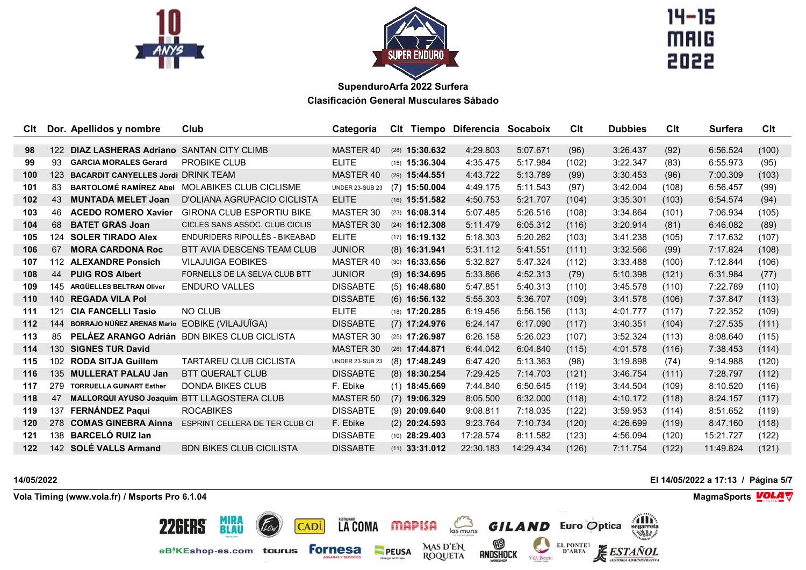



 $14 - 15$ **MAIG** 2022

| Clt |     | Dor. Apellidos y nombre                       | Club                                         | Categoría              |                         | CIt Tiempo Diferencia Socaboix |           | Clt   | <b>Dubbies</b> | Clt   | <b>Surfera</b> | Clt   |
|-----|-----|-----------------------------------------------|----------------------------------------------|------------------------|-------------------------|--------------------------------|-----------|-------|----------------|-------|----------------|-------|
|     |     |                                               |                                              |                        |                         |                                |           |       |                |       |                |       |
| 98  |     | 122 DIAZ LASHERAS Adriano SANTAN CITY CLIMB   |                                              | MASTER 40              | $(28)$ 15:30.632        | 4:29.803                       | 5:07.671  | (96)  | 3:26.437       | (92)  | 6:56.524       | (100) |
| 99  | 93  | <b>GARCIA MORALES Gerard</b>                  | <b>PROBIKE CLUB</b>                          | <b>ELITE</b>           | $(15)$ 15:36.304        | 4:35.475                       | 5:17.984  | (102) | 3:22.347       | (83)  | 6:55.973       | (95)  |
| 100 | 123 | <b>BACARDIT CANYELLES Jordi DRINK TEAM</b>    |                                              | MASTER 40              | $(29)$ 15:44.551        | 4:43.722                       | 5:13.789  | (99)  | 3:30.453       | (96)  | 7:00.309       | (103) |
| 101 | 83  | <b>BARTOLOMÉ RAMÍREZ Abel</b>                 | <b>MOLABIKES CLUB CICLISME</b>               | <b>UNDER 23-SUB 23</b> | $(7)$ 15:50.004         | 4:49.175                       | 5:11.543  | (97)  | 3:42.004       | (108) | 6:56.457       | (99)  |
| 102 | 43  | <b>MUNTADA MELET Joan</b>                     | D'OLIANA AGRUPACIO CICLISTA                  | <b>ELITE</b>           | $(16)$ 15:51.582        | 4:50.753                       | 5:21.707  | (104) | 3:35.301       | (103) | 6:54.574       | (94)  |
| 103 | 46  | <b>ACEDO ROMERO Xavier</b>                    | <b>GIRONA CLUB ESPORTIU BIKE</b>             | MASTER 30              | $(23)$ 16:08.314        | 5:07.485                       | 5:26.516  | (108) | 3:34.864       | (101) | 7:06.934       | (105) |
| 104 | 68  | <b>BATET GRAS Joan</b>                        | CICLES SANS ASSOC. CLUB CICLIS               | MASTER 30              | $(24)$ 16:12.308        | 5:11.479                       | 6:05.312  | (116) | 3:20.914       | (81)  | 6:46.082       | (89)  |
| 105 | 124 | <b>SOLER TIRADO Alex</b>                      | ENDURIDERS RIPOLLÈS - BIKEABAD               | <b>ELITE</b>           | $(17)$ 16:19.132        | 5:18.303                       | 5:20.262  | (103) | 3:41.238       | (105) | 7:17.632       | (107) |
| 106 | 67  | <b>MORA CARDONA Roc</b>                       | BTT AVIA DESCENS TEAM CLUB                   | <b>JUNIOR</b>          | $(8)$ 16:31.941         | 5:31.112                       | 5:41.551  | (111) | 3:32.566       | (99)  | 7:17.824       | (108) |
| 107 |     | 112 ALEXANDRE Ponsich                         | <b>VILAJUIGA EOBIKES</b>                     | MASTER 40              | $(30)$ <b>16:33.656</b> | 5:32.827                       | 5:47.324  | (112) | 3:33.488       | (100) | 7:12.844       | (106) |
| 108 | 44  | <b>PUIG ROS Albert</b>                        | FORNELLS DE LA SELVA CLUB BTT                | <b>JUNIOR</b>          | $(9)$ 16:34.695         | 5:33.866                       | 4:52.313  | (79)  | 5:10.398       | (121) | 6:31.984       | (77)  |
| 109 | 145 | ARGÜELLES BELTRAN Oliver                      | <b>ENDURO VALLES</b>                         | <b>DISSABTE</b>        | $(5)$ 16:48.680         | 5:47.851                       | 5:40.313  | (110) | 3:45.578       | (110) | 7:22.789       | (110) |
| 110 | 140 | <b>REGADA VILA Pol</b>                        |                                              | <b>DISSABTE</b>        | $(6)$ 16:56.132         | 5:55.303                       | 5:36.707  | (109) | 3:41.578       | (106) | 7:37.847       | (113) |
| 111 | 121 | <b>CIA FANCELLI Tasio</b>                     | NO CLUB                                      | <b>ELITE</b>           | $(18)$ 17:20.285        | 6:19.456                       | 5:56.156  | (113) | 4:01.777       | (117) | 7:22.352       | (109) |
| 112 | 144 | BORRAJO NÚÑEZ ARENAS Mario EOBIKE (VILAJUÏGA) |                                              | <b>DISSABTE</b>        | $(7)$ 17:24.976         | 6:24.147                       | 6:17.090  | (117) | 3:40.351       | (104) | 7:27.535       | (111) |
| 113 | 85  |                                               | PELÁEZ ARANGO Adrián BDN BIKES CLUB CICLISTA | MASTER 30              | $(25)$ <b>17:26.987</b> | 6:26.158                       | 5:26.023  | (107) | 3:52.324       | (113) | 8:08.640       | (115) |
| 114 | 130 | <b>SIGNES TUR David</b>                       |                                              | MASTER 30              | $(26)$ 17:44.871        | 6:44.042                       | 6:04.840  | (115) | 4:01.578       | (116) | 7:38.453       | (114) |
| 115 | 102 | <b>RODA SITJA Guillem</b>                     | <b>TARTAREU CLUB CICLISTA</b>                | <b>UNDER 23-SUB 23</b> | $(8)$ 17:48.249         | 6:47.420                       | 5:13.363  | (98)  | 3:19.898       | (74)  | 9:14.988       | (120) |
| 116 | 135 | <b>MULLERAT PALAU Jan</b>                     | <b>BTT QUERALT CLUB</b>                      | <b>DISSABTE</b>        | $(8)$ 18:30.254         | 7:29.425                       | 7:14.703  | (121) | 3:46.754       | (111) | 7:28.797       | (112) |
| 117 |     | 279 TORRUELLA GUINART Esther                  | <b>DONDA BIKES CLUB</b>                      | F. Ebike               | $(1)$ 18:45.669         | 7:44.840                       | 6:50.645  | (119) | 3:44.504       | (109) | 8:10.520       | (116) |
| 118 | 47  | <b>MALLORQUI AYUSO Joaquim</b>                | <b>BTT LLAGOSTERA CLUB</b>                   | <b>MASTER 50</b>       | $(7)$ 19:06.329         | 8:05.500                       | 6:32.000  | (118) | 4:10.172       | (118) | 8:24.157       | (117) |
| 119 | 137 | FERNÁNDEZ Paqui                               | <b>ROCABIKES</b>                             | <b>DISSABTE</b>        | $(9)$ 20:09.640         | 9:08.811                       | 7:18.035  | (122) | 3:59.953       | (114) | 8:51.652       | (119) |
| 120 | 278 | <b>COMAS GINEBRA Ainna</b>                    | ESPRINT CELLERA DE TER CLUB CI               | F. Ebike               | $(2)$ 20:24.593         | 9:23.764                       | 7:10.734  | (120) | 4:26.699       | (119) | 8:47.160       | (118) |
| 121 | 138 | <b>BARCELÓ RUIZ lan</b>                       |                                              | <b>DISSABTE</b>        | $(10)$ 28:29.403        | 17:28.574                      | 8:11.582  | (123) | 4:56.094       | (120) | 15:21.727      | (122) |
| 122 |     | 142 SOLÉ VALLS Armand                         | <b>BDN BIKES CLUB CICILISTA</b>              | <b>DISSABTE</b>        | $(11)$ 33:31.012        | 22:30.183                      | 14:29.434 | (126) | 7:11.754       | (122) | 11:49.824      | (121) |

LA COMA MAPISA

**PEUSA** 

CADI.

 $\sum_{\text{las minus}}$ 

MAS D'EN<br>ROQUETA

 $\circledR$ 

andshock

**Vola Timing (www.vola.fr) / Msports Pro 6.1.04 MagmaSports MagmaSports MagmaSports MagmaSports MagmaSports** 

**MIRA<br>BLAU** 

eBIKEshop-es.com taurus Fornesa

22GERS

**14/05/2022 El 14/05/2022 a 17:13 / Página 5/7**

**THE** 

**ESTAÑOL** 

**GESTORIA ADMINISTRATIVA** 

**GILAND** Euro Optica

Vilà Betriu

EL PONTE1<br>D'ARFA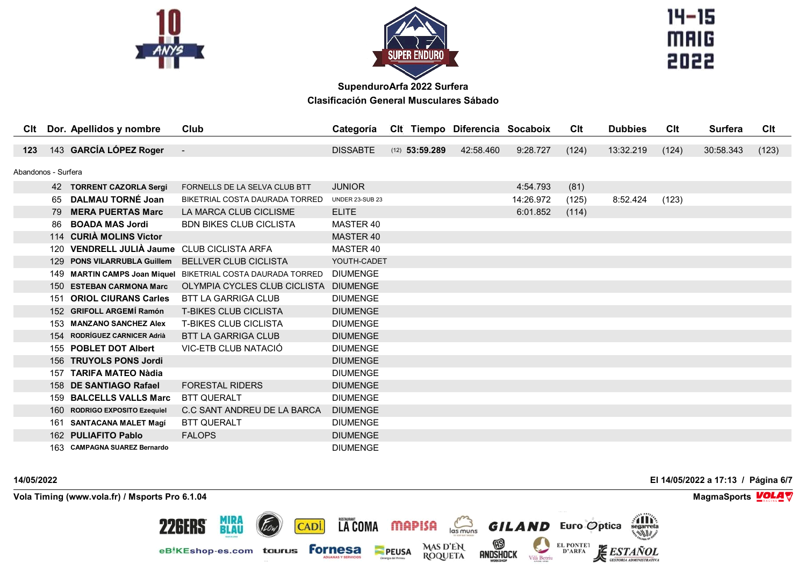



 $14 - 15$ **MAIG** 2022

| Clt                 |     | Dor. Apellidos y nombre                        | Club                                                        | Categoría              |                  | CIt Tiempo Diferencia Socaboix |           | Clt   | <b>Dubbies</b> | CIt   | <b>Surfera</b> | Clt   |
|---------------------|-----|------------------------------------------------|-------------------------------------------------------------|------------------------|------------------|--------------------------------|-----------|-------|----------------|-------|----------------|-------|
| 123                 |     | 143 GARCÍA LÓPEZ Roger                         | $\overline{\phantom{a}}$                                    | <b>DISSABTE</b>        | $(12)$ 53:59.289 | 42:58.460                      | 9:28.727  | (124) | 13:32.219      | (124) | 30:58.343      | (123) |
|                     |     |                                                |                                                             |                        |                  |                                |           |       |                |       |                |       |
| Abandonos - Surfera |     |                                                |                                                             |                        |                  |                                |           |       |                |       |                |       |
|                     |     | 42 TORRENT CAZORLA Sergi                       | FORNELLS DE LA SELVA CLUB BTT                               | <b>JUNIOR</b>          |                  |                                | 4:54.793  | (81)  |                |       |                |       |
|                     | 65  | <b>DALMAU TORNÉ Joan</b>                       | BIKETRIAL COSTA DAURADA TORRED                              | <b>UNDER 23-SUB 23</b> |                  |                                | 14:26.972 | (125) | 8:52.424       | (123) |                |       |
|                     | 79  | <b>MERA PUERTAS Marc</b>                       | LA MARCA CLUB CICLISME                                      | <b>ELITE</b>           |                  |                                | 6:01.852  | (114) |                |       |                |       |
|                     | 86  | <b>BOADA MAS Jordi</b>                         | <b>BDN BIKES CLUB CICLISTA</b>                              | MASTER 40              |                  |                                |           |       |                |       |                |       |
|                     |     | 114 CURIA MOLINS Victor                        |                                                             | MASTER 40              |                  |                                |           |       |                |       |                |       |
|                     | 120 | <b>VENDRELL JULIÀ Jaume</b> CLUB CICLISTA ARFA |                                                             | MASTER 40              |                  |                                |           |       |                |       |                |       |
|                     | 129 | <b>PONS VILARRUBLA Guillem</b>                 | <b>BELLVER CLUB CICLISTA</b>                                | YOUTH-CADET            |                  |                                |           |       |                |       |                |       |
|                     |     |                                                | 149 MARTIN CAMPS Joan Miquel BIKETRIAL COSTA DAURADA TORRED | <b>DIUMENGE</b>        |                  |                                |           |       |                |       |                |       |
|                     |     | 150 ESTEBAN CARMONA Marc                       | OLYMPIA CYCLES CLUB CICLISTA                                | <b>DIUMENGE</b>        |                  |                                |           |       |                |       |                |       |
|                     | 151 | <b>ORIOL CIURANS Carles</b>                    | <b>BTT LA GARRIGA CLUB</b>                                  | <b>DIUMENGE</b>        |                  |                                |           |       |                |       |                |       |
|                     |     | 152 GRIFOLL ARGEMÍ Ramón                       | <b>T-BIKES CLUB CICLISTA</b>                                | <b>DIUMENGE</b>        |                  |                                |           |       |                |       |                |       |
|                     |     | 153 MANZANO SANCHEZ Alex                       | <b>T-BIKES CLUB CICLISTA</b>                                | <b>DIUMENGE</b>        |                  |                                |           |       |                |       |                |       |
|                     | 154 | <b>RODRÍGUEZ CARNICER Adrià</b>                | <b>BTT LA GARRIGA CLUB</b>                                  | <b>DIUMENGE</b>        |                  |                                |           |       |                |       |                |       |
|                     |     | 155 POBLET DOT Albert                          | VIC-ETB CLUB NATACIÓ                                        | <b>DIUMENGE</b>        |                  |                                |           |       |                |       |                |       |
|                     |     | 156 TRUYOLS PONS Jordi                         |                                                             | <b>DIUMENGE</b>        |                  |                                |           |       |                |       |                |       |
|                     | 157 | <b>TARIFA MATEO Nàdia</b>                      |                                                             | <b>DIUMENGE</b>        |                  |                                |           |       |                |       |                |       |
|                     |     | 158 DE SANTIAGO Rafael                         | <b>FORESTAL RIDERS</b>                                      | <b>DIUMENGE</b>        |                  |                                |           |       |                |       |                |       |
|                     |     | 159 BALCELLS VALLS Marc                        | <b>BTT QUERALT</b>                                          | <b>DIUMENGE</b>        |                  |                                |           |       |                |       |                |       |
|                     | 160 | <b>RODRIGO EXPOSITO Ezequiel</b>               | C.C SANT ANDREU DE LA BARCA                                 | <b>DIUMENGE</b>        |                  |                                |           |       |                |       |                |       |
|                     |     | 161 SANTACANA MALET Magí                       | <b>BTT QUERALT</b>                                          | <b>DIUMENGE</b>        |                  |                                |           |       |                |       |                |       |
|                     |     | 162 PULIAFITO Pablo                            | <b>FALOPS</b>                                               | <b>DIUMENGE</b>        |                  |                                |           |       |                |       |                |       |
|                     |     | 163 CAMPAGNA SUAREZ Bernardo                   |                                                             | <b>DIUMENGE</b>        |                  |                                |           |       |                |       |                |       |

LACOMA MAPISA

**PEUSA** 

CADI.

 $\sum_{\text{las muns}}$ 

MAS D'EN<br>ROQUETA

 $\circledR$ 

andshock

**Vola Timing (www.vola.fr) / Msports Pro 6.1.04 MagmaSports MagmaSports MagmaSports MagmaSports MagmaSports** 

**MIRA<br>BLAU** 

eBIKEshop-es.com taurus Fornesa

22GERS

**14/05/2022 El 14/05/2022 a 17:13 / Página 6/7**

**THE** 

**ESTAÑOL** 

**GESTORIA ADMINISTRATIVA** 

**GILAND** Euro Optica

Vilà Betriu

EL PONTE1<br>D'ARFA